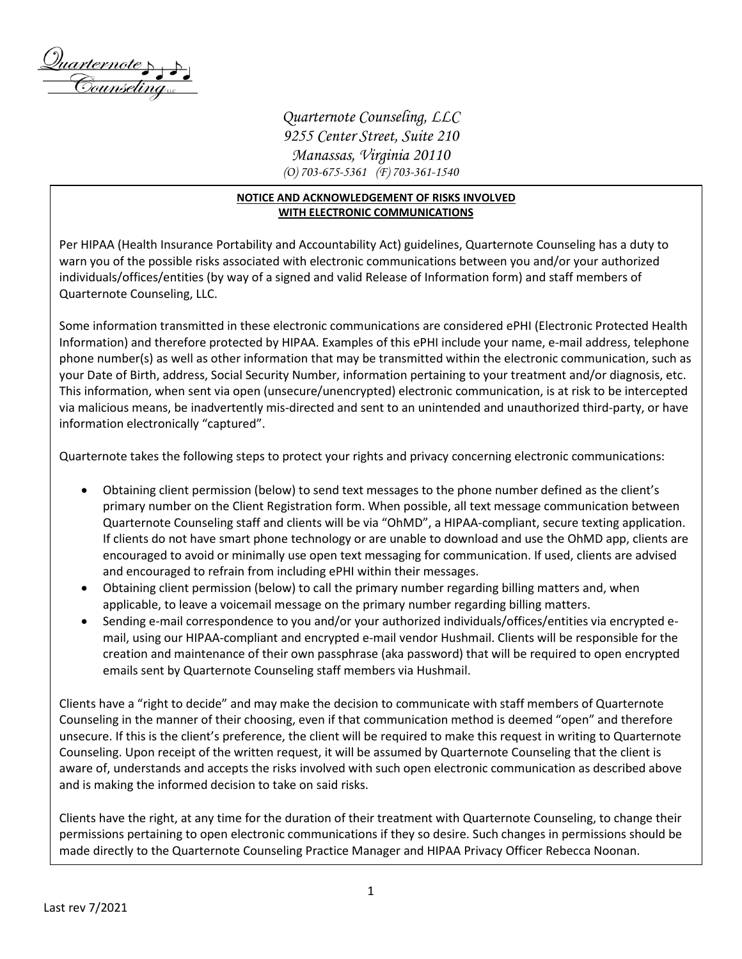

*Quarternote Counseling, LLC 9255 Center Street, Suite 210 Manassas, Virginia 20110 (O) 703-675-5361 (F) 703-361-1540*

## **NOTICE AND ACKNOWLEDGEMENT OF RISKS INVOLVED WITH ELECTRONIC COMMUNICATIONS**

Per HIPAA (Health Insurance Portability and Accountability Act) guidelines, Quarternote Counseling has a duty to warn you of the possible risks associated with electronic communications between you and/or your authorized individuals/offices/entities (by way of a signed and valid Release of Information form) and staff members of Quarternote Counseling, LLC.

Some information transmitted in these electronic communications are considered ePHI (Electronic Protected Health Information) and therefore protected by HIPAA. Examples of this ePHI include your name, e-mail address, telephone phone number(s) as well as other information that may be transmitted within the electronic communication, such as your Date of Birth, address, Social Security Number, information pertaining to your treatment and/or diagnosis, etc. This information, when sent via open (unsecure/unencrypted) electronic communication, is at risk to be intercepted via malicious means, be inadvertently mis-directed and sent to an unintended and unauthorized third-party, or have information electronically "captured".

Quarternote takes the following steps to protect your rights and privacy concerning electronic communications:

- Obtaining client permission (below) to send text messages to the phone number defined as the client's primary number on the Client Registration form. When possible, all text message communication between Quarternote Counseling staff and clients will be via "OhMD", a HIPAA-compliant, secure texting application. If clients do not have smart phone technology or are unable to download and use the OhMD app, clients are encouraged to avoid or minimally use open text messaging for communication. If used, clients are advised and encouraged to refrain from including ePHI within their messages.
- Obtaining client permission (below) to call the primary number regarding billing matters and, when applicable, to leave a voicemail message on the primary number regarding billing matters.
- Sending e-mail correspondence to you and/or your authorized individuals/offices/entities via encrypted email, using our HIPAA-compliant and encrypted e-mail vendor Hushmail. Clients will be responsible for the creation and maintenance of their own passphrase (aka password) that will be required to open encrypted emails sent by Quarternote Counseling staff members via Hushmail.

Clients have a "right to decide" and may make the decision to communicate with staff members of Quarternote Counseling in the manner of their choosing, even if that communication method is deemed "open" and therefore unsecure. If this is the client's preference, the client will be required to make this request in writing to Quarternote Counseling. Upon receipt of the written request, it will be assumed by Quarternote Counseling that the client is aware of, understands and accepts the risks involved with such open electronic communication as described above and is making the informed decision to take on said risks.

Clients have the right, at any time for the duration of their treatment with Quarternote Counseling, to change their permissions pertaining to open electronic communications if they so desire. Such changes in permissions should be made directly to the Quarternote Counseling Practice Manager and HIPAA Privacy Officer Rebecca Noonan.